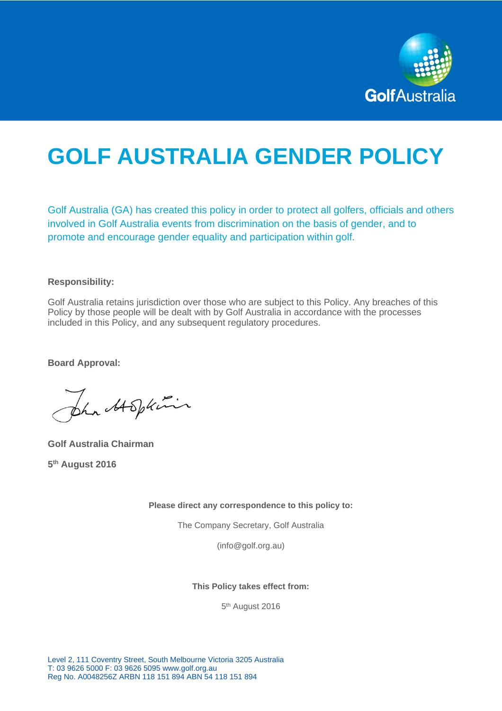

# **GOLF AUSTRALIA GENDER POLICY**

Golf Australia (GA) has created this policy in order to protect all golfers, officials and others involved in Golf Australia events from discrimination on the basis of gender, and to promote and encourage gender equality and participation within golf.

#### **Responsibility:**

Golf Australia retains jurisdiction over those who are subject to this Policy. Any breaches of this Policy by those people will be dealt with by Golf Australia in accordance with the processes included in this Policy, and any subsequent regulatory procedures.

**Board Approval:**

the Abplini

**Golf Australia Chairman 5 th August 2016**

**Please direct any correspondence to this policy to:**

The Company Secretary, Golf Australia

(info@golf.org.au)

**This Policy takes effect from:**

5<sup>th</sup> August 2016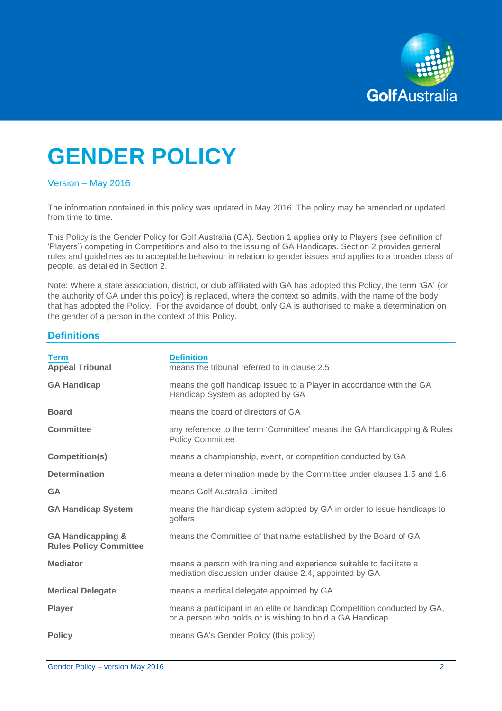

## **GENDER POLICY**

#### Version – May 2016

The information contained in this policy was updated in May 2016. The policy may be amended or updated from time to time.

This Policy is the Gender Policy for Golf Australia (GA). Section 1 applies only to Players (see definition of 'Players') competing in Competitions and also to the issuing of GA Handicaps. Section 2 provides general rules and guidelines as to acceptable behaviour in relation to gender issues and applies to a broader class of people, as detailed in Section 2.

Note: Where a state association, district, or club affiliated with GA has adopted this Policy, the term 'GA' (or the authority of GA under this policy) is replaced, where the context so admits, with the name of the body that has adopted the Policy. For the avoidance of doubt, only GA is authorised to make a determination on the gender of a person in the context of this Policy.

## **Definitions**

| <b>Term</b><br><b>Appeal Tribunal</b>                         | <b>Definition</b><br>means the tribunal referred to in clause 2.5                                                                      |
|---------------------------------------------------------------|----------------------------------------------------------------------------------------------------------------------------------------|
| <b>GA Handicap</b>                                            | means the golf handicap issued to a Player in accordance with the GA<br>Handicap System as adopted by GA                               |
| <b>Board</b>                                                  | means the board of directors of GA                                                                                                     |
| <b>Committee</b>                                              | any reference to the term 'Committee' means the GA Handicapping & Rules<br><b>Policy Committee</b>                                     |
| Competition(s)                                                | means a championship, event, or competition conducted by GA                                                                            |
| <b>Determination</b>                                          | means a determination made by the Committee under clauses 1.5 and 1.6                                                                  |
| <b>GA</b>                                                     | means Golf Australia Limited                                                                                                           |
| <b>GA Handicap System</b>                                     | means the handicap system adopted by GA in order to issue handicaps to<br>golfers                                                      |
| <b>GA Handicapping &amp;</b><br><b>Rules Policy Committee</b> | means the Committee of that name established by the Board of GA                                                                        |
| <b>Mediator</b>                                               | means a person with training and experience suitable to facilitate a<br>mediation discussion under clause 2.4, appointed by GA         |
| <b>Medical Delegate</b>                                       | means a medical delegate appointed by GA                                                                                               |
| <b>Player</b>                                                 | means a participant in an elite or handicap Competition conducted by GA,<br>or a person who holds or is wishing to hold a GA Handicap. |
| <b>Policy</b>                                                 | means GA's Gender Policy (this policy)                                                                                                 |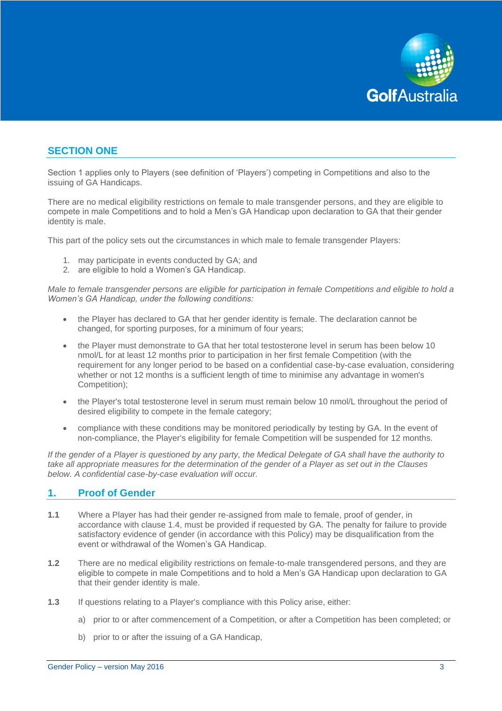

## **SECTION ONE**

Section 1 applies only to Players (see definition of 'Players') competing in Competitions and also to the issuing of GA Handicaps.

There are no medical eligibility restrictions on female to male transgender persons, and they are eligible to compete in male Competitions and to hold a Men's GA Handicap upon declaration to GA that their gender identity is male.

This part of the policy sets out the circumstances in which male to female transgender Players:

- 1. may participate in events conducted by GA; and
- 2. are eligible to hold a Women's GA Handicap.

*Male to female transgender persons are eligible for participation in female Competitions and eligible to hold a Women's GA Handicap, under the following conditions:*

- the Player has declared to GA that her gender identity is female. The declaration cannot be changed, for sporting purposes, for a minimum of four years;
- the Player must demonstrate to GA that her total testosterone level in serum has been below 10 nmol/L for at least 12 months prior to participation in her first female Competition (with the requirement for any longer period to be based on a confidential case-by-case evaluation, considering whether or not 12 months is a sufficient length of time to minimise any advantage in women's Competition);
- the Player's total testosterone level in serum must remain below 10 nmol/L throughout the period of desired eligibility to compete in the female category;
- compliance with these conditions may be monitored periodically by testing by GA. In the event of non-compliance, the Player's eligibility for female Competition will be suspended for 12 months.

*If the gender of a Player is questioned by any party, the Medical Delegate of GA shall have the authority to take all appropriate measures for the determination of the gender of a Player as set out in the Clauses below. A confidential case-by-case evaluation will occur.*

#### **1. Proof of Gender**

- **1.1** Where a Player has had their gender re-assigned from male to female, proof of gender, in accordance with clause 1.4, must be provided if requested by GA. The penalty for failure to provide satisfactory evidence of gender (in accordance with this Policy) may be disqualification from the event or withdrawal of the Women's GA Handicap.
- **1.2** There are no medical eligibility restrictions on female-to-male transgendered persons, and they are eligible to compete in male Competitions and to hold a Men's GA Handicap upon declaration to GA that their gender identity is male.
- **1.3** If questions relating to a Player's compliance with this Policy arise, either:
	- a) prior to or after commencement of a Competition, or after a Competition has been completed; or
	- b) prior to or after the issuing of a GA Handicap,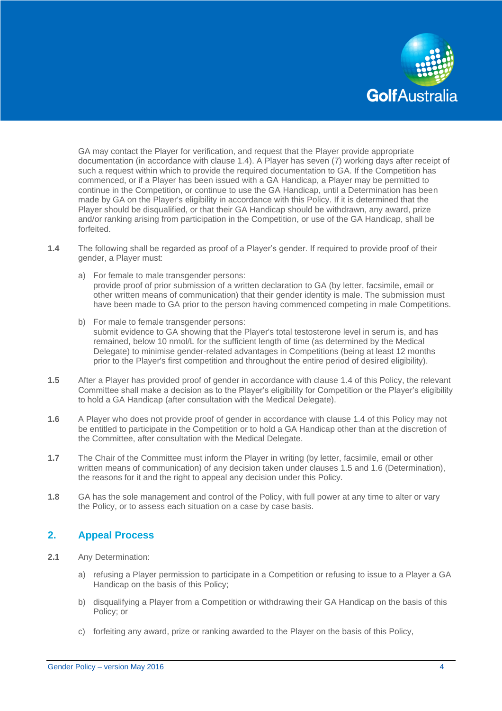

GA may contact the Player for verification, and request that the Player provide appropriate documentation (in accordance with clause 1.4). A Player has seven (7) working days after receipt of such a request within which to provide the required documentation to GA. If the Competition has commenced, or if a Player has been issued with a GA Handicap, a Player may be permitted to continue in the Competition, or continue to use the GA Handicap, until a Determination has been made by GA on the Player's eligibility in accordance with this Policy. If it is determined that the Player should be disqualified, or that their GA Handicap should be withdrawn, any award, prize and/or ranking arising from participation in the Competition, or use of the GA Handicap, shall be forfeited.

- **1.4** The following shall be regarded as proof of a Player's gender. If required to provide proof of their gender, a Player must:
	- a) For female to male transgender persons: provide proof of prior submission of a written declaration to GA (by letter, facsimile, email or other written means of communication) that their gender identity is male. The submission must have been made to GA prior to the person having commenced competing in male Competitions.
	- b) For male to female transgender persons: submit evidence to GA showing that the Player's total testosterone level in serum is, and has remained, below 10 nmol/L for the sufficient length of time (as determined by the Medical Delegate) to minimise gender-related advantages in Competitions (being at least 12 months prior to the Player's first competition and throughout the entire period of desired eligibility).
- **1.5** After a Player has provided proof of gender in accordance with clause 1.4 of this Policy, the relevant Committee shall make a decision as to the Player's eligibility for Competition or the Player's eligibility to hold a GA Handicap (after consultation with the Medical Delegate).
- **1.6** A Player who does not provide proof of gender in accordance with clause 1.4 of this Policy may not be entitled to participate in the Competition or to hold a GA Handicap other than at the discretion of the Committee, after consultation with the Medical Delegate.
- **1.7** The Chair of the Committee must inform the Player in writing (by letter, facsimile, email or other written means of communication) of any decision taken under clauses 1.5 and 1.6 (Determination), the reasons for it and the right to appeal any decision under this Policy.
- **1.8** GA has the sole management and control of the Policy, with full power at any time to alter or vary the Policy, or to assess each situation on a case by case basis.

## **2. Appeal Process**

- **2.1** Any Determination:
	- a) refusing a Player permission to participate in a Competition or refusing to issue to a Player a GA Handicap on the basis of this Policy;
	- b) disqualifying a Player from a Competition or withdrawing their GA Handicap on the basis of this Policy; or
	- c) forfeiting any award, prize or ranking awarded to the Player on the basis of this Policy,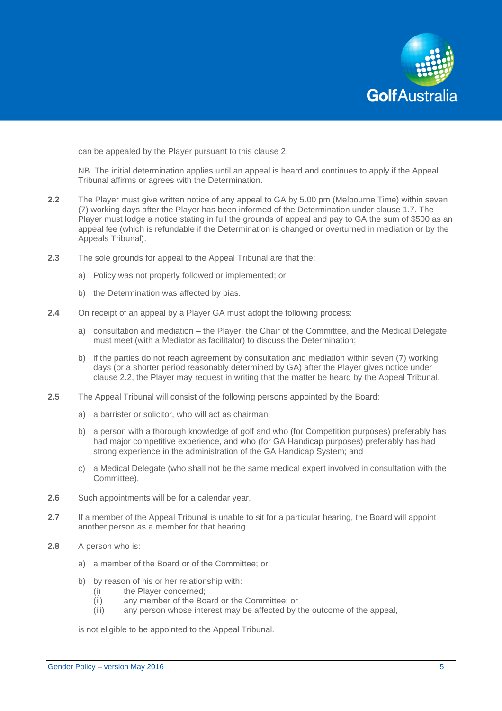

can be appealed by the Player pursuant to this clause 2.

NB. The initial determination applies until an appeal is heard and continues to apply if the Appeal Tribunal affirms or agrees with the Determination.

- **2.2** The Player must give written notice of any appeal to GA by 5.00 pm (Melbourne Time) within seven (7) working days after the Player has been informed of the Determination under clause 1.7. The Player must lodge a notice stating in full the grounds of appeal and pay to GA the sum of \$500 as an appeal fee (which is refundable if the Determination is changed or overturned in mediation or by the Appeals Tribunal).
- **2.3** The sole grounds for appeal to the Appeal Tribunal are that the:
	- a) Policy was not properly followed or implemented; or
	- b) the Determination was affected by bias.
- **2.4** On receipt of an appeal by a Player GA must adopt the following process:
	- a) consultation and mediation the Player, the Chair of the Committee, and the Medical Delegate must meet (with a Mediator as facilitator) to discuss the Determination;
	- b) if the parties do not reach agreement by consultation and mediation within seven (7) working days (or a shorter period reasonably determined by GA) after the Player gives notice under clause 2.2, the Player may request in writing that the matter be heard by the Appeal Tribunal.
- **2.5** The Appeal Tribunal will consist of the following persons appointed by the Board:
	- a) a barrister or solicitor, who will act as chairman;
	- b) a person with a thorough knowledge of golf and who (for Competition purposes) preferably has had major competitive experience, and who (for GA Handicap purposes) preferably has had strong experience in the administration of the GA Handicap System; and
	- c) a Medical Delegate (who shall not be the same medical expert involved in consultation with the Committee).
- **2.6** Such appointments will be for a calendar year.
- **2.7** If a member of the Appeal Tribunal is unable to sit for a particular hearing, the Board will appoint another person as a member for that hearing.
- **2.8** A person who is:
	- a) a member of the Board or of the Committee; or
	- b) by reason of his or her relationship with:
		- (i) the Player concerned;
		- (ii) any member of the Board or the Committee; or
		- (iii) any person whose interest may be affected by the outcome of the appeal,

is not eligible to be appointed to the Appeal Tribunal.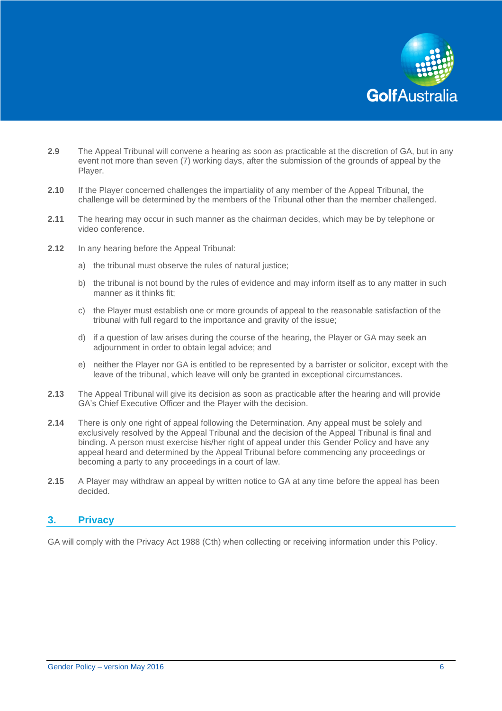

- **2.9** The Appeal Tribunal will convene a hearing as soon as practicable at the discretion of GA, but in any event not more than seven (7) working days, after the submission of the grounds of appeal by the Player.
- **2.10** If the Player concerned challenges the impartiality of any member of the Appeal Tribunal, the challenge will be determined by the members of the Tribunal other than the member challenged.
- **2.11** The hearing may occur in such manner as the chairman decides, which may be by telephone or video conference.
- **2.12** In any hearing before the Appeal Tribunal:
	- a) the tribunal must observe the rules of natural justice:
	- b) the tribunal is not bound by the rules of evidence and may inform itself as to any matter in such manner as it thinks fit;
	- c) the Player must establish one or more grounds of appeal to the reasonable satisfaction of the tribunal with full regard to the importance and gravity of the issue;
	- d) if a question of law arises during the course of the hearing, the Player or GA may seek an adjournment in order to obtain legal advice; and
	- e) neither the Player nor GA is entitled to be represented by a barrister or solicitor, except with the leave of the tribunal, which leave will only be granted in exceptional circumstances.
- **2.13** The Appeal Tribunal will give its decision as soon as practicable after the hearing and will provide GA's Chief Executive Officer and the Player with the decision.
- **2.14** There is only one right of appeal following the Determination. Any appeal must be solely and exclusively resolved by the Appeal Tribunal and the decision of the Appeal Tribunal is final and binding. A person must exercise his/her right of appeal under this Gender Policy and have any appeal heard and determined by the Appeal Tribunal before commencing any proceedings or becoming a party to any proceedings in a court of law.
- **2.15** A Player may withdraw an appeal by written notice to GA at any time before the appeal has been decided.

#### **3. Privacy**

GA will comply with the Privacy Act 1988 (Cth) when collecting or receiving information under this Policy.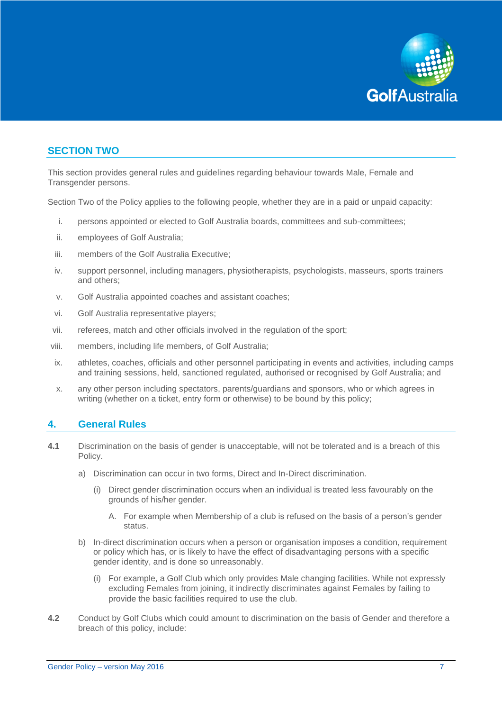

## **SECTION TWO**

This section provides general rules and guidelines regarding behaviour towards Male, Female and Transgender persons.

Section Two of the Policy applies to the following people, whether they are in a paid or unpaid capacity:

- i. persons appointed or elected to Golf Australia boards, committees and sub-committees;
- ii. employees of Golf Australia;
- iii. members of the Golf Australia Executive;
- iv. support personnel, including managers, physiotherapists, psychologists, masseurs, sports trainers and others;
- v. Golf Australia appointed coaches and assistant coaches;
- vi. Golf Australia representative players;
- vii. referees, match and other officials involved in the regulation of the sport;
- viii. members, including life members, of Golf Australia;
- ix. athletes, coaches, officials and other personnel participating in events and activities, including camps and training sessions, held, sanctioned regulated, authorised or recognised by Golf Australia; and
- x. any other person including spectators, parents/guardians and sponsors, who or which agrees in writing (whether on a ticket, entry form or otherwise) to be bound by this policy;

## **4. General Rules**

- **4.1** Discrimination on the basis of gender is unacceptable, will not be tolerated and is a breach of this Policy.
	- a) Discrimination can occur in two forms, Direct and In-Direct discrimination.
		- (i) Direct gender discrimination occurs when an individual is treated less favourably on the grounds of his/her gender.
			- A. For example when Membership of a club is refused on the basis of a person's gender status.
	- b) In-direct discrimination occurs when a person or organisation imposes a condition, requirement or policy which has, or is likely to have the effect of disadvantaging persons with a specific gender identity, and is done so unreasonably.
		- (i) For example, a Golf Club which only provides Male changing facilities. While not expressly excluding Females from joining, it indirectly discriminates against Females by failing to provide the basic facilities required to use the club.
- **4.2** Conduct by Golf Clubs which could amount to discrimination on the basis of Gender and therefore a breach of this policy, include: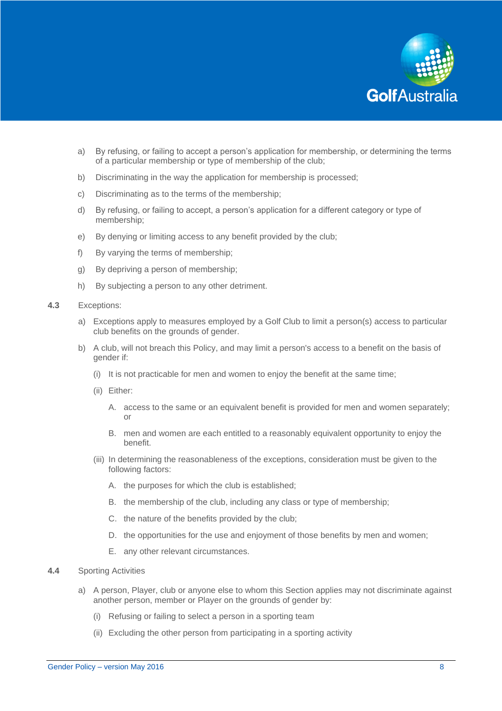

- a) By refusing, or failing to accept a person's application for membership, or determining the terms of a particular membership or type of membership of the club;
- b) Discriminating in the way the application for membership is processed;
- c) Discriminating as to the terms of the membership;
- d) By refusing, or failing to accept, a person's application for a different category or type of membership;
- e) By denying or limiting access to any benefit provided by the club;
- f) By varying the terms of membership;
- g) By depriving a person of membership;
- h) By subjecting a person to any other detriment.
- **4.3** Exceptions:
	- a) Exceptions apply to measures employed by a Golf Club to limit a person(s) access to particular club benefits on the grounds of gender.
	- b) A club, will not breach this Policy, and may limit a person's access to a benefit on the basis of gender if:
		- (i) It is not practicable for men and women to enjoy the benefit at the same time;
		- (ii) Either:
			- A. access to the same or an equivalent benefit is provided for men and women separately; or
			- B. men and women are each entitled to a reasonably equivalent opportunity to enjoy the benefit.
		- (iii) In determining the reasonableness of the exceptions, consideration must be given to the following factors:
			- A. the purposes for which the club is established;
			- B. the membership of the club, including any class or type of membership;
			- C. the nature of the benefits provided by the club;
			- D. the opportunities for the use and enjoyment of those benefits by men and women;
			- E. any other relevant circumstances.
- **4.4** Sporting Activities
	- a) A person, Player, club or anyone else to whom this Section applies may not discriminate against another person, member or Player on the grounds of gender by:
		- (i) Refusing or failing to select a person in a sporting team
		- (ii) Excluding the other person from participating in a sporting activity